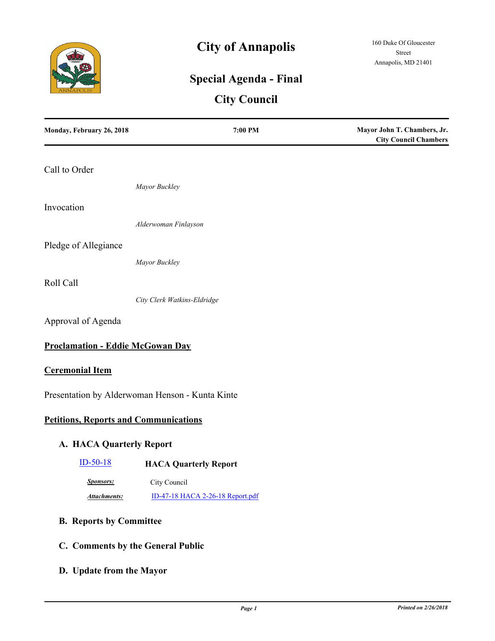

# **City of Annapolis**

## **Special Agenda - Final**

## **City Council**

| Monday, February 26, 2018                    | 7:00 PM                                         | Mayor John T. Chambers, Jr.<br><b>City Council Chambers</b> |
|----------------------------------------------|-------------------------------------------------|-------------------------------------------------------------|
| Call to Order                                |                                                 |                                                             |
|                                              | Mayor Buckley                                   |                                                             |
| Invocation                                   |                                                 |                                                             |
|                                              | Alderwoman Finlayson                            |                                                             |
| Pledge of Allegiance                         |                                                 |                                                             |
|                                              | Mayor Buckley                                   |                                                             |
| Roll Call                                    |                                                 |                                                             |
|                                              | City Clerk Watkins-Eldridge                     |                                                             |
| Approval of Agenda                           |                                                 |                                                             |
| <b>Proclamation - Eddie McGowan Day</b>      |                                                 |                                                             |
| <b>Ceremonial Item</b>                       |                                                 |                                                             |
|                                              | Presentation by Alderwoman Henson - Kunta Kinte |                                                             |
| <b>Petitions, Reports and Communications</b> |                                                 |                                                             |
| A. HACA Quarterly Report                     |                                                 |                                                             |
| $ID-50-18$                                   | <b>HACA Quarterly Report</b>                    |                                                             |
| <b>Sponsors:</b>                             | City Council                                    |                                                             |
| <b>Attachments:</b>                          | ID-47-18 HACA 2-26-18 Report.pdf                |                                                             |
| <b>B. Reports by Committee</b>               |                                                 |                                                             |
| C. Comments by the General Public            |                                                 |                                                             |
| D. Update from the Mayor                     |                                                 |                                                             |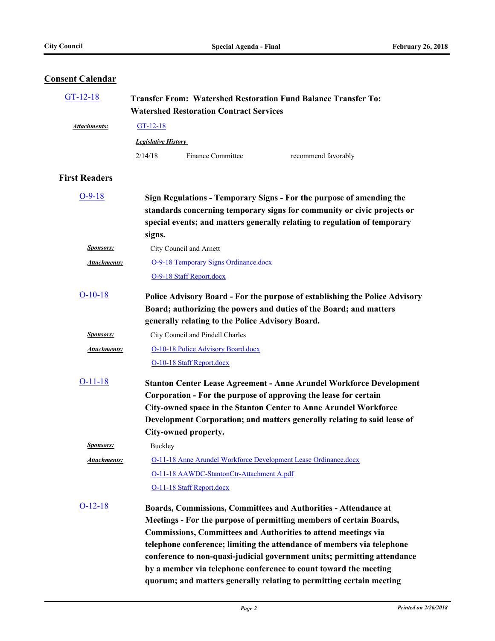### **Consent Calendar**

| $GT-12-18$           | <b>Transfer From: Watershed Restoration Fund Balance Transfer To:</b><br><b>Watershed Restoration Contract Services</b> |                                                  |                                                                                                                                          |
|----------------------|-------------------------------------------------------------------------------------------------------------------------|--------------------------------------------------|------------------------------------------------------------------------------------------------------------------------------------------|
| Attachments:         | $GT-12-18$                                                                                                              |                                                  |                                                                                                                                          |
|                      | <b>Legislative History</b>                                                                                              |                                                  |                                                                                                                                          |
|                      | 2/14/18                                                                                                                 | Finance Committee                                | recommend favorably                                                                                                                      |
|                      |                                                                                                                         |                                                  |                                                                                                                                          |
| <b>First Readers</b> |                                                                                                                         |                                                  |                                                                                                                                          |
| $O-9-18$             |                                                                                                                         |                                                  | Sign Regulations - Temporary Signs - For the purpose of amending the                                                                     |
|                      |                                                                                                                         |                                                  | standards concerning temporary signs for community or civic projects or                                                                  |
|                      |                                                                                                                         |                                                  | special events; and matters generally relating to regulation of temporary                                                                |
|                      | signs.                                                                                                                  |                                                  |                                                                                                                                          |
| <b>Sponsors:</b>     |                                                                                                                         | City Council and Arnett                          |                                                                                                                                          |
| <u>Attachments:</u>  |                                                                                                                         | O-9-18 Temporary Signs Ordinance.docx            |                                                                                                                                          |
|                      |                                                                                                                         | O-9-18 Staff Report.docx                         |                                                                                                                                          |
| $O-10-18$            |                                                                                                                         |                                                  | Police Advisory Board - For the purpose of establishing the Police Advisory                                                              |
|                      |                                                                                                                         |                                                  | Board; authorizing the powers and duties of the Board; and matters                                                                       |
|                      |                                                                                                                         | generally relating to the Police Advisory Board. |                                                                                                                                          |
| <b>Sponsors:</b>     |                                                                                                                         | City Council and Pindell Charles                 |                                                                                                                                          |
| <u>Attachments:</u>  |                                                                                                                         | O-10-18 Police Advisory Board.docx               |                                                                                                                                          |
|                      |                                                                                                                         | O-10-18 Staff Report.docx                        |                                                                                                                                          |
| $O-11-18$            |                                                                                                                         |                                                  | <b>Stanton Center Lease Agreement - Anne Arundel Workforce Development</b>                                                               |
|                      |                                                                                                                         |                                                  | Corporation - For the purpose of approving the lease for certain                                                                         |
|                      |                                                                                                                         |                                                  | City-owned space in the Stanton Center to Anne Arundel Workforce                                                                         |
|                      |                                                                                                                         |                                                  | Development Corporation; and matters generally relating to said lease of                                                                 |
|                      |                                                                                                                         | City-owned property.                             |                                                                                                                                          |
| Sponsors:            | Buckley                                                                                                                 |                                                  |                                                                                                                                          |
| Attachments:         |                                                                                                                         |                                                  | <b>O-11-18 Anne Arundel Workforce Development Lease Ordinance.docx</b>                                                                   |
|                      |                                                                                                                         | O-11-18 AAWDC-StantonCtr-Attachment A.pdf        |                                                                                                                                          |
|                      |                                                                                                                         | O-11-18 Staff Report.docx                        |                                                                                                                                          |
| $O-12-18$            |                                                                                                                         |                                                  | Boards, Commissions, Committees and Authorities - Attendance at                                                                          |
|                      |                                                                                                                         |                                                  | Meetings - For the purpose of permitting members of certain Boards,                                                                      |
|                      |                                                                                                                         |                                                  | <b>Commissions, Committees and Authorities to attend meetings via</b>                                                                    |
|                      |                                                                                                                         |                                                  | telephone conference; limiting the attendance of members via telephone                                                                   |
|                      |                                                                                                                         |                                                  | conference to non-quasi-judicial government units; permitting attendance                                                                 |
|                      |                                                                                                                         |                                                  | by a member via telephone conference to count toward the meeting<br>quorum; and matters generally relating to permitting certain meeting |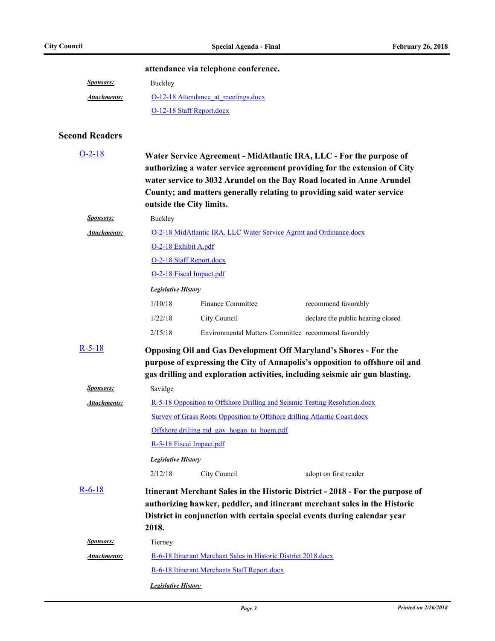|  |  | attendance via telephone conference. |  |  |  |  |  |
|--|--|--------------------------------------|--|--|--|--|--|
|--|--|--------------------------------------|--|--|--|--|--|

| <i>Sponsors:</i> | Buckley                             |
|------------------|-------------------------------------|
| Attachments:     | O-12-18 Attendance at meetings.docx |
|                  | O-12-18 Staff Report.docx           |

### **Second Readers**

| $O-2-18$            |                                                                                  | outside the City limits.                                       | Water Service Agreement - MidAtlantic IRA, LLC - For the purpose of<br>authorizing a water service agreement providing for the extension of City<br>water service to 3032 Arundel on the Bay Road located in Anne Arundel<br>County; and matters generally relating to providing said water service |  |
|---------------------|----------------------------------------------------------------------------------|----------------------------------------------------------------|-----------------------------------------------------------------------------------------------------------------------------------------------------------------------------------------------------------------------------------------------------------------------------------------------------|--|
| <b>Sponsors:</b>    | Buckley                                                                          |                                                                |                                                                                                                                                                                                                                                                                                     |  |
| <u>Attachments:</u> |                                                                                  |                                                                | O-2-18 MidAtlantic IRA, LLC Water Service Agrmt and Ordinance.docx                                                                                                                                                                                                                                  |  |
|                     | O-2-18 Exhibit A.pdf                                                             |                                                                |                                                                                                                                                                                                                                                                                                     |  |
|                     |                                                                                  | O-2-18 Staff Report.docx                                       |                                                                                                                                                                                                                                                                                                     |  |
|                     |                                                                                  | O-2-18 Fiscal Impact.pdf                                       |                                                                                                                                                                                                                                                                                                     |  |
|                     | <b>Legislative History</b>                                                       |                                                                |                                                                                                                                                                                                                                                                                                     |  |
|                     | 1/10/18                                                                          | <b>Finance Committee</b>                                       | recommend favorably                                                                                                                                                                                                                                                                                 |  |
|                     | 1/22/18                                                                          | City Council                                                   | declare the public hearing closed                                                                                                                                                                                                                                                                   |  |
|                     | 2/15/18                                                                          |                                                                | Environmental Matters Committee recommend favorably                                                                                                                                                                                                                                                 |  |
| $R-5-18$            |                                                                                  |                                                                | <b>Opposing Oil and Gas Development Off Maryland's Shores - For the</b><br>purpose of expressing the City of Annapolis's opposition to offshore oil and<br>gas drilling and exploration activities, including seismic air gun blasting.                                                             |  |
| <b>Sponsors:</b>    | Savidge                                                                          |                                                                |                                                                                                                                                                                                                                                                                                     |  |
| Attachments:        |                                                                                  |                                                                | R-5-18 Opposition to Offshore Drilling and Seismic Testing Resolution.docx                                                                                                                                                                                                                          |  |
|                     | <b>Survey of Grass Roots Opposition to Offshore drilling Atlantic Coast.docx</b> |                                                                |                                                                                                                                                                                                                                                                                                     |  |
|                     | Offshore drilling md gov hogan to boem.pdf                                       |                                                                |                                                                                                                                                                                                                                                                                                     |  |
|                     | R-5-18 Fiscal Impact.pdf                                                         |                                                                |                                                                                                                                                                                                                                                                                                     |  |
|                     | <b>Legislative History</b>                                                       |                                                                |                                                                                                                                                                                                                                                                                                     |  |
|                     | 2/12/18                                                                          | City Council                                                   | adopt on first reader                                                                                                                                                                                                                                                                               |  |
| $R-6-18$            | 2018.                                                                            |                                                                | Itinerant Merchant Sales in the Historic District - 2018 - For the purpose of<br>authorizing hawker, peddler, and itinerant merchant sales in the Historic<br>District in conjunction with certain special events during calendar year                                                              |  |
| <b>Sponsors:</b>    | Tierney                                                                          |                                                                |                                                                                                                                                                                                                                                                                                     |  |
| Attachments:        |                                                                                  | R-6-18 Itinerant Merchant Sales in Historic District 2018.docx |                                                                                                                                                                                                                                                                                                     |  |
|                     | R-6-18 Itinerant Merchants Staff Report.docx                                     |                                                                |                                                                                                                                                                                                                                                                                                     |  |
|                     | <b>Legislative History</b>                                                       |                                                                |                                                                                                                                                                                                                                                                                                     |  |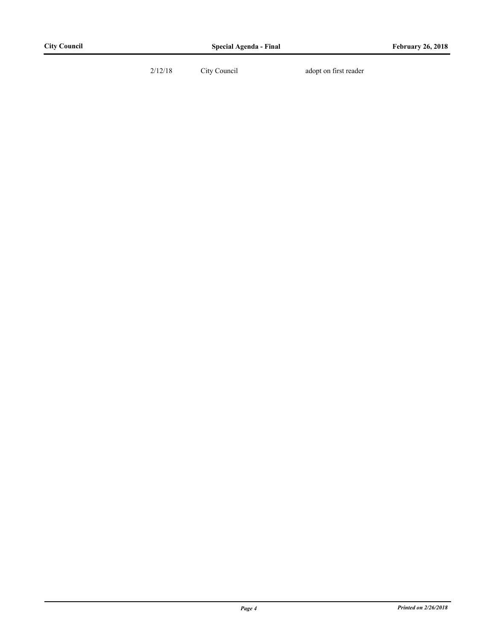2/12/18 City Council adopt on first reader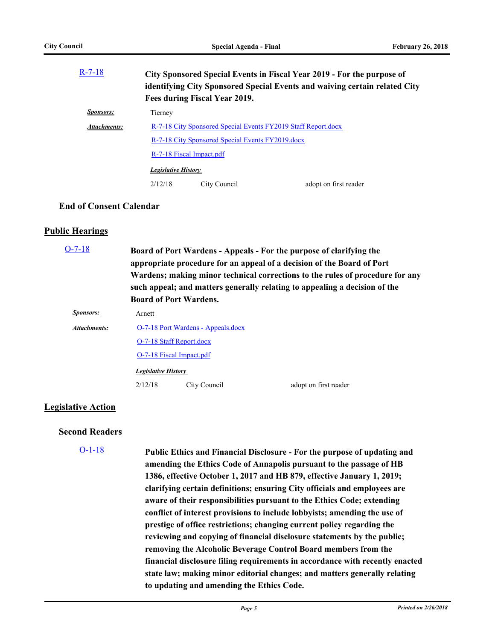| $R-7-18$            | City Sponsored Special Events in Fiscal Year 2019 - For the purpose of<br>identifying City Sponsored Special Events and waiving certain related City<br>Fees during Fiscal Year 2019. |                                                  |                       |
|---------------------|---------------------------------------------------------------------------------------------------------------------------------------------------------------------------------------|--------------------------------------------------|-----------------------|
| <i>Sponsors:</i>    | Tierney                                                                                                                                                                               |                                                  |                       |
| <b>Attachments:</b> | R-7-18 City Sponsored Special Events FY2019 Staff Report.docx                                                                                                                         |                                                  |                       |
|                     |                                                                                                                                                                                       | R-7-18 City Sponsored Special Events FY2019.docx |                       |
|                     | R-7-18 Fiscal Impact.pdf                                                                                                                                                              |                                                  |                       |
|                     | <b>Legislative History</b>                                                                                                                                                            |                                                  |                       |
|                     | 2/12/18                                                                                                                                                                               | City Council                                     | adopt on first reader |

#### **End of Consent Calendar**

#### **Public Hearings**

| $O-7-18$         |                            | <b>Board of Port Wardens.</b>      | Board of Port Wardens - Appeals - For the purpose of clarifying the<br>appropriate procedure for an appeal of a decision of the Board of Port<br>Wardens; making minor technical corrections to the rules of procedure for any<br>such appeal; and matters generally relating to appealing a decision of the |
|------------------|----------------------------|------------------------------------|--------------------------------------------------------------------------------------------------------------------------------------------------------------------------------------------------------------------------------------------------------------------------------------------------------------|
| <i>Sponsors:</i> | Arnett                     |                                    |                                                                                                                                                                                                                                                                                                              |
| Attachments:     |                            | O-7-18 Port Wardens - Appeals.docx |                                                                                                                                                                                                                                                                                                              |
|                  |                            | O-7-18 Staff Report.docx           |                                                                                                                                                                                                                                                                                                              |
|                  |                            | O-7-18 Fiscal Impact.pdf           |                                                                                                                                                                                                                                                                                                              |
|                  | <b>Legislative History</b> |                                    |                                                                                                                                                                                                                                                                                                              |
|                  | 2/12/18                    | City Council                       | adopt on first reader                                                                                                                                                                                                                                                                                        |

#### **Legislative Action**

#### **Second Readers**

[O-1-18](http://annapolismd.legistar.com/gateway.aspx?m=l&id=/matter.aspx?key=3453)

**Public Ethics and Financial Disclosure - For the purpose of updating and amending the Ethics Code of Annapolis pursuant to the passage of HB 1386, effective October 1, 2017 and HB 879, effective January 1, 2019; clarifying certain definitions; ensuring City officials and employees are aware of their responsibilities pursuant to the Ethics Code; extending conflict of interest provisions to include lobbyists; amending the use of prestige of office restrictions; changing current policy regarding the reviewing and copying of financial disclosure statements by the public; removing the Alcoholic Beverage Control Board members from the financial disclosure filing requirements in accordance with recently enacted state law; making minor editorial changes; and matters generally relating to updating and amending the Ethics Code.**